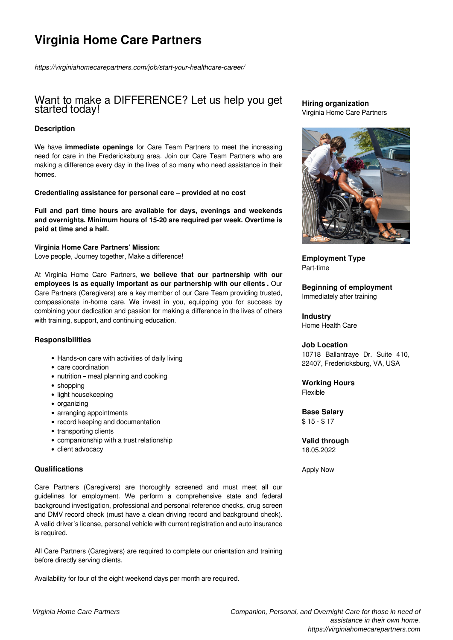# **Virginia Home Care Partners**

*https://virginiahomecarepartners.com/job/start-your-healthcare-career/*

# Want to make a DIFFERENCE? Let us help you get started today!

### **Description**

We have **immediate openings** for Care Team Partners to meet the increasing need for care in the Fredericksburg area. Join our Care Team Partners who are making a difference every day in the lives of so many who need assistance in their homes.

#### **Credentialing assistance for personal care – provided at no cost**

**Full and part time hours are available for days, evenings and weekends and overnights. Minimum hours of 15-20 are required per week. Overtime is paid at time and a half.**

**Virginia Home Care Partners' Mission:** Love people, Journey together, Make a difference!

At Virginia Home Care Partners, **we believe that our partnership with our employees is as equally important as our partnership with our clients .** Our Care Partners (Caregivers) are a key member of our Care Team providing trusted, compassionate in-home care. We invest in you, equipping you for success by combining your dedication and passion for making a difference in the lives of others with training, support, and continuing education.

#### **Responsibilities**

- Hands-on care with activities of daily living
- care coordination
- nutrition meal planning and cooking
- shopping
- light housekeeping
- organizing
- arranging appointments
- record keeping and documentation
- transporting clients
- companionship with a trust relationship
- client advocacy

#### **Qualifications**

Care Partners (Caregivers) are thoroughly screened and must meet all our guidelines for employment. We perform a comprehensive state and federal background investigation, professional and personal reference checks, drug screen and DMV record check (must have a clean driving record and background check). A valid driver's license, personal vehicle with current registration and auto insurance is required.

All Care Partners (Caregivers) are required to complete our orientation and training before directly serving clients.

Availability for four of the eight weekend days per month are required.

#### **Hiring organization** Virginia Home Care Partners



**Employment Type** Part-time

**Beginning of employment** Immediately after training

# **Industry**

Home Health Care

#### **Job Location**

10718 Ballantraye Dr. Suite 410, 22407, Fredericksburg, VA, USA

**Working Hours** Flexible

#### **Base Salary** \$ 15 - \$ 17

**Valid through** 18.05.2022

Apply Now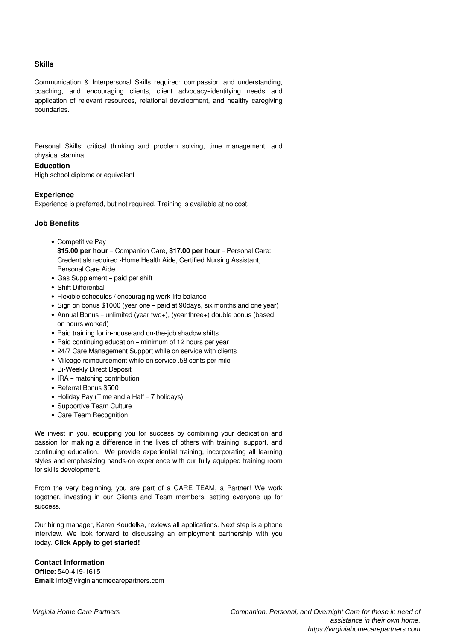#### **Skills**

Communication & Interpersonal Skills required: compassion and understanding, coaching, and encouraging clients, client advocacy–identifying needs and application of relevant resources, relational development, and healthy caregiving boundaries.

Personal Skills: critical thinking and problem solving, time management, and physical stamina.

#### **Education**

High school diploma or equivalent

#### **Experience**

Experience is preferred, but not required. Training is available at no cost.

#### **Job Benefits**

- Competitive Pay
- **\$15.00 per hour** Companion Care, **\$17.00 per hour** Personal Care: Credentials required -Home Health Aide, Certified Nursing Assistant, Personal Care Aide
- Gas Supplement paid per shift
- Shift Differential
- Flexible schedules / encouraging work-life balance
- Sign on bonus \$1000 (year one paid at 90days, six months and one year)
- Annual Bonus unlimited (year two+), (year three+) double bonus (based on hours worked)
- Paid training for in-house and on-the-job shadow shifts
- Paid continuing education minimum of 12 hours per year
- 24/7 Care Management Support while on service with clients
- Mileage reimbursement while on service .58 cents per mile
- Bi-Weekly Direct Deposit
- IRA matching contribution
- Referral Bonus \$500
- Holiday Pay (Time and a Half 7 holidays)
- Supportive Team Culture
- Care Team Recognition

We invest in you, equipping you for success by combining your dedication and passion for making a difference in the lives of others with training, support, and continuing education. We provide experiential training, incorporating all learning styles and emphasizing hands-on experience with our fully equipped training room for skills development.

From the very beginning, you are part of a CARE TEAM, a Partner! We work together, investing in our Clients and Team members, setting everyone up for success.

Our hiring manager, Karen Koudelka, reviews all applications. Next step is a phone interview. We look forward to discussing an employment partnership with you today. **Click Apply to get started!**

## **Contact Information**

**Office:** 540-419-1615 **Email:** info@virginiahomecarepartners.com